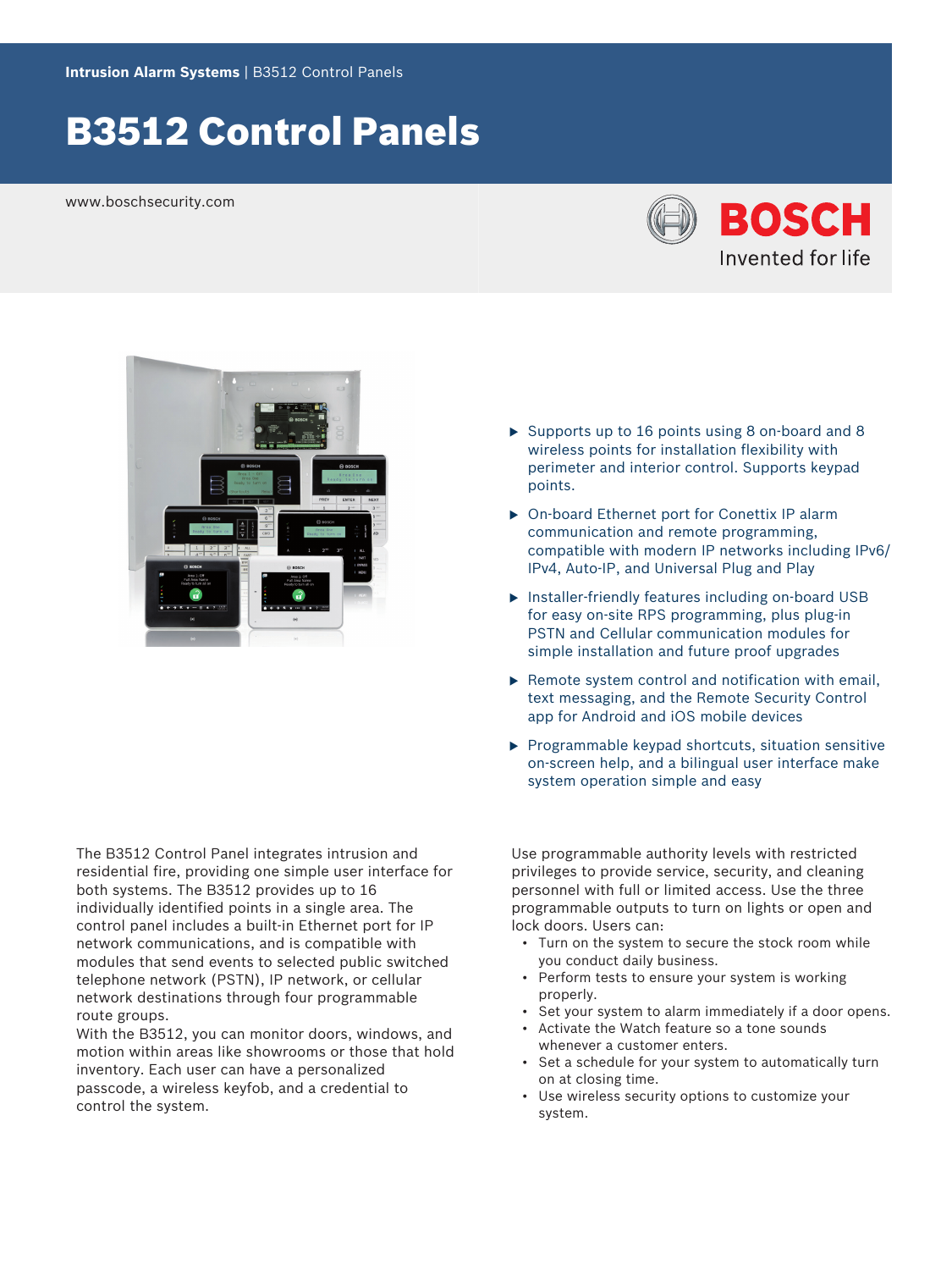# B3512 Control Panels

www.boschsecurity.com





The B3512 Control Panel integrates intrusion and residential fire, providing one simple user interface for both systems. The B3512 provides up to 16 individually identified points in a single area. The control panel includes a built-in Ethernet port for IP network communications, and is compatible with modules that send events to selected public switched telephone network (PSTN), IP network, or cellular network destinations through four programmable route groups.

With the B3512, you can monitor doors, windows, and motion within areas like showrooms or those that hold inventory. Each user can have a personalized passcode, a wireless keyfob, and a credential to control the system.

- $\triangleright$  Supports up to 16 points using 8 on-board and 8 wireless points for installation flexibility with perimeter and interior control. Supports keypad points.
- ▶ On-board Ethernet port for Conettix IP alarm communication and remote programming, compatible with modern IP networks including IPv6/ IPv4, Auto-IP, and Universal Plug and Play
- $\triangleright$  Installer-friendly features including on-board USB for easy on-site RPS programming, plus plug-in PSTN and Cellular communication modules for simple installation and future proof upgrades
- $\triangleright$  Remote system control and notification with email, text messaging, and the Remote Security Control app for Android and iOS mobile devices
- $\blacktriangleright$  Programmable keypad shortcuts, situation sensitive on-screen help, and a bilingual user interface make system operation simple and easy

Use programmable authority levels with restricted privileges to provide service, security, and cleaning personnel with full or limited access. Use the three programmable outputs to turn on lights or open and lock doors. Users can:

- Turn on the system to secure the stock room while you conduct daily business.
- Perform tests to ensure your system is working properly.
- Set your system to alarm immediately if a door opens.
- Activate the Watch feature so a tone sounds whenever a customer enters.
- Set a schedule for your system to automatically turn on at closing time.
- Use wireless security options to customize your system.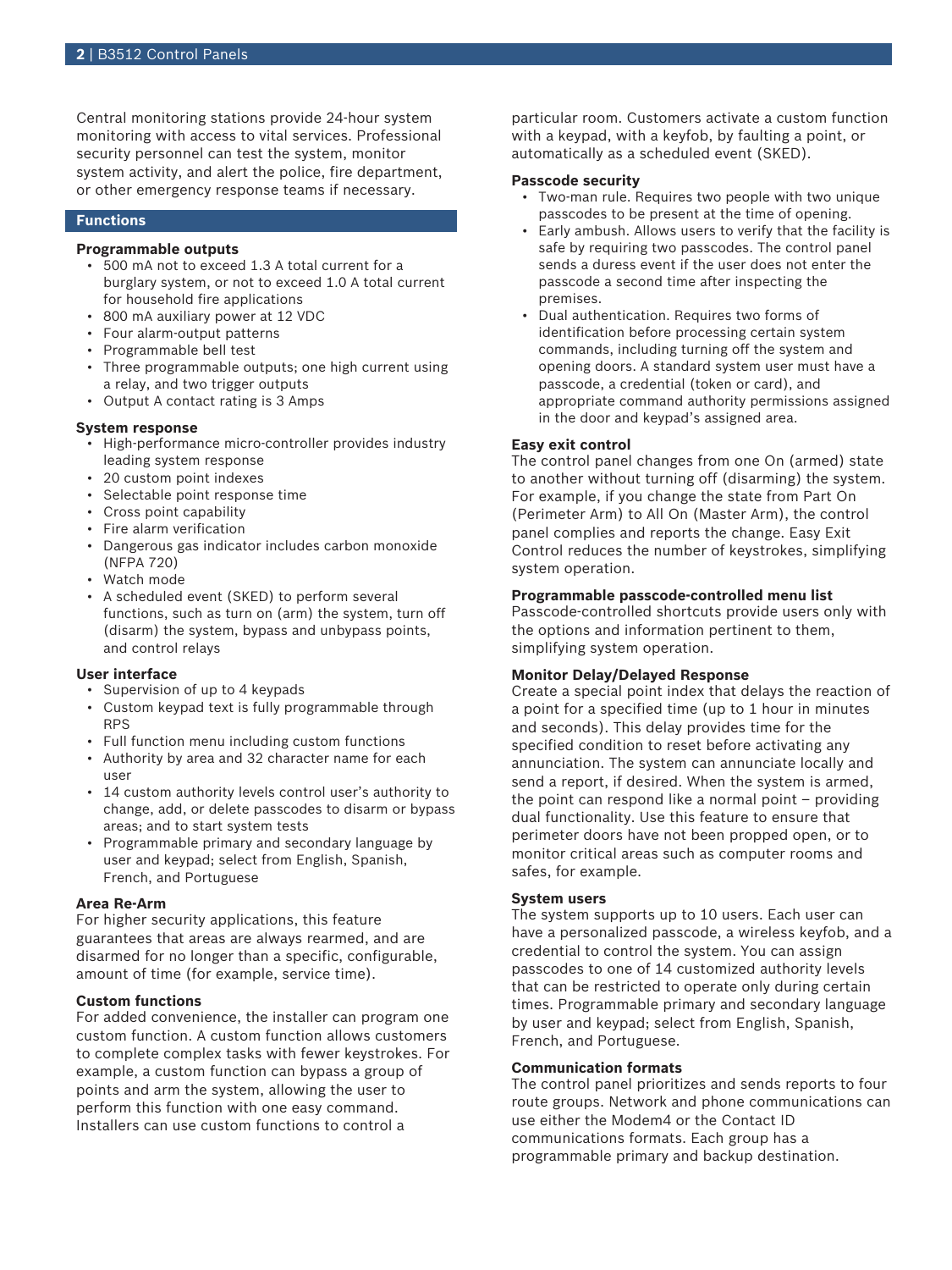Central monitoring stations provide 24-hour system monitoring with access to vital services. Professional security personnel can test the system, monitor system activity, and alert the police, fire department, or other emergency response teams if necessary.

#### **Functions**

# **Programmable outputs**

- 500 mA not to exceed 1.3 A total current for a burglary system, or not to exceed 1.0 A total current for household fire applications
- 800 mA auxiliary power at 12 VDC
- Four alarm-output patterns
- Programmable bell test
- Three programmable outputs; one high current using a relay, and two trigger outputs
- Output A contact rating is 3 Amps

#### **System response**

- High-performance micro-controller provides industry leading system response
- 20 custom point indexes
- Selectable point response time
- Cross point capability
- Fire alarm verification
- Dangerous gas indicator includes carbon monoxide (NFPA 720)
- Watch mode
- A scheduled event (SKED) to perform several functions, such as turn on (arm) the system, turn off (disarm) the system, bypass and unbypass points, and control relays

### **User interface**

- Supervision of up to 4 keypads
- Custom keypad text is fully programmable through RPS
- Full function menu including custom functions
- Authority by area and 32 character name for each user
- 14 custom authority levels control user's authority to change, add, or delete passcodes to disarm or bypass areas; and to start system tests
- Programmable primary and secondary language by user and keypad; select from English, Spanish, French, and Portuguese

#### **Area Re-Arm**

For higher security applications, this feature guarantees that areas are always rearmed, and are disarmed for no longer than a specific, configurable, amount of time (for example, service time).

# **Custom functions**

For added convenience, the installer can program one custom function. A custom function allows customers to complete complex tasks with fewer keystrokes. For example, a custom function can bypass a group of points and arm the system, allowing the user to perform this function with one easy command. Installers can use custom functions to control a

particular room. Customers activate a custom function with a keypad, with a keyfob, by faulting a point, or automatically as a scheduled event (SKED).

#### **Passcode security**

- Two-man rule. Requires two people with two unique passcodes to be present at the time of opening.
- Early ambush. Allows users to verify that the facility is safe by requiring two passcodes. The control panel sends a duress event if the user does not enter the passcode a second time after inspecting the premises.
- Dual authentication. Requires two forms of identification before processing certain system commands, including turning off the system and opening doors. A standard system user must have a passcode, a credential (token or card), and appropriate command authority permissions assigned in the door and keypad's assigned area.

#### **Easy exit control**

The control panel changes from one On (armed) state to another without turning off (disarming) the system. For example, if you change the state from Part On (Perimeter Arm) to All On (Master Arm), the control panel complies and reports the change. Easy Exit Control reduces the number of keystrokes, simplifying system operation.

#### **Programmable passcode-controlled menu list**

Passcode-controlled shortcuts provide users only with the options and information pertinent to them, simplifying system operation.

### **Monitor Delay/Delayed Response**

Create a special point index that delays the reaction of a point for a specified time (up to 1 hour in minutes and seconds). This delay provides time for the specified condition to reset before activating any annunciation. The system can annunciate locally and send a report, if desired. When the system is armed, the point can respond like a normal point – providing dual functionality. Use this feature to ensure that perimeter doors have not been propped open, or to monitor critical areas such as computer rooms and safes, for example.

#### **System users**

The system supports up to 10 users. Each user can have a personalized passcode, a wireless keyfob, and a credential to control the system. You can assign passcodes to one of 14 customized authority levels that can be restricted to operate only during certain times. Programmable primary and secondary language by user and keypad; select from English, Spanish, French, and Portuguese.

#### **Communication formats**

The control panel prioritizes and sends reports to four route groups. Network and phone communications can use either the Modem4 or the Contact ID communications formats. Each group has a programmable primary and backup destination.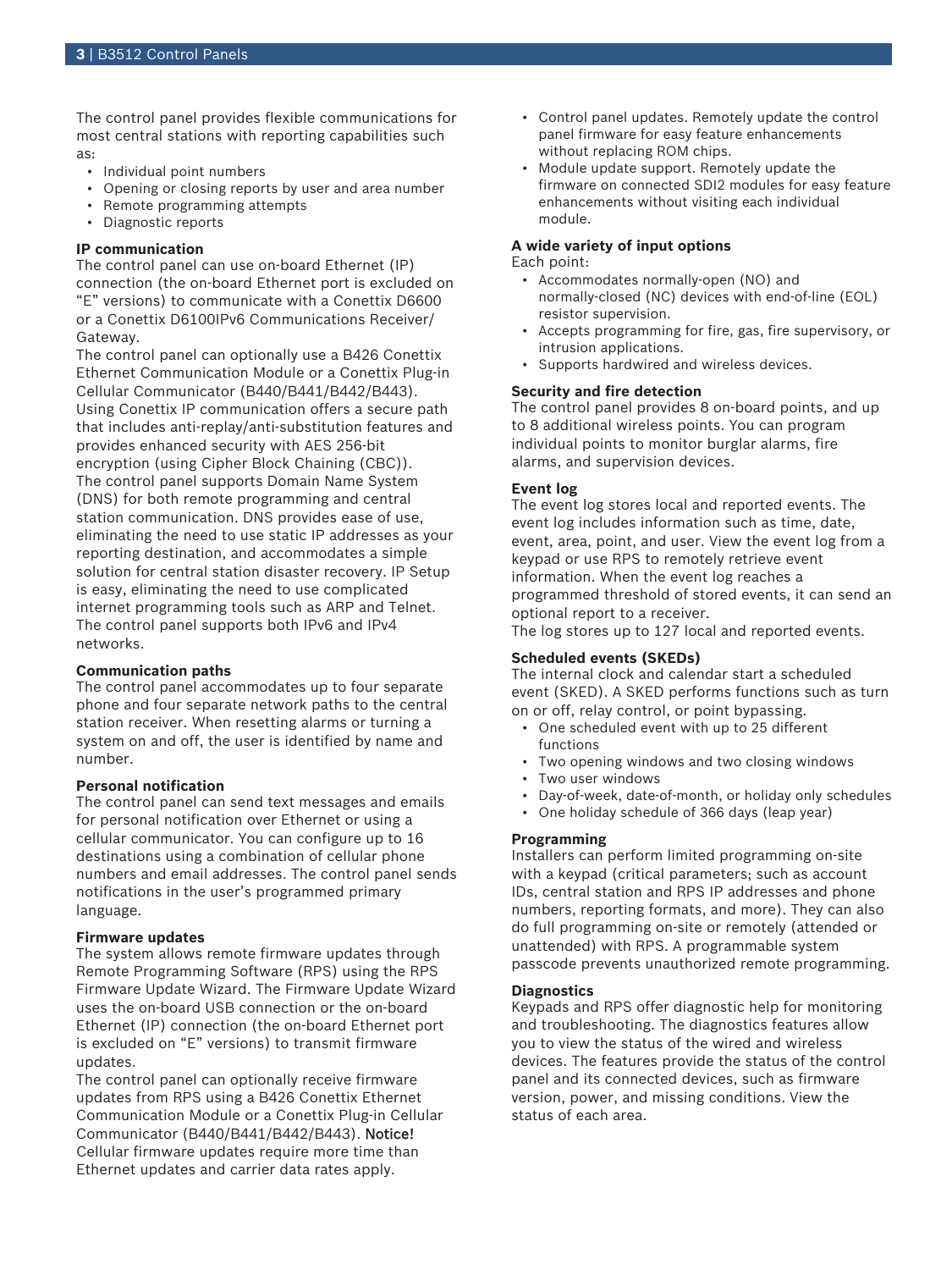The control panel provides flexible communications for most central stations with reporting capabilities such as:

- Individual point numbers
- Opening or closing reports by user and area number
- Remote programming attempts
- Diagnostic reports

# **IP communication**

The control panel can use on-board Ethernet (IP) connection (the on-board Ethernet port is excluded on "E" versions) to communicate with a Conettix D6600 or a Conettix D6100IPv6 Communications Receiver/ Gateway.

The control panel can optionally use a B426 Conettix Ethernet Communication Module or a Conettix Plug-in Cellular Communicator (B440/B441/B442/B443). Using Conettix IP communication offers a secure path that includes anti-replay/anti-substitution features and provides enhanced security with AES 256-bit encryption (using Cipher Block Chaining (CBC)). The control panel supports Domain Name System (DNS) for both remote programming and central station communication. DNS provides ease of use, eliminating the need to use static IP addresses as your reporting destination, and accommodates a simple solution for central station disaster recovery. IP Setup is easy, eliminating the need to use complicated internet programming tools such as ARP and Telnet. The control panel supports both IPv6 and IPv4 networks.

# **Communication paths**

The control panel accommodates up to four separate phone and four separate network paths to the central station receiver. When resetting alarms or turning a system on and off, the user is identified by name and number.

# **Personal notification**

The control panel can send text messages and emails for personal notification over Ethernet or using a cellular communicator. You can configure up to 16 destinations using a combination of cellular phone numbers and email addresses. The control panel sends notifications in the user's programmed primary language.

# **Firmware updates**

The system allows remote firmware updates through Remote Programming Software (RPS) using the RPS Firmware Update Wizard. The Firmware Update Wizard uses the on-board USB connection or the on-board Ethernet (IP) connection (the on-board Ethernet port is excluded on "E" versions) to transmit firmware updates.

The control panel can optionally receive firmware updates from RPS using a B426 Conettix Ethernet Communication Module or a Conettix Plug-in Cellular Communicator (B440/B441/B442/B443). Notice! Cellular firmware updates require more time than Ethernet updates and carrier data rates apply.

- Control panel updates. Remotely update the control panel firmware for easy feature enhancements without replacing ROM chips.
- Module update support. Remotely update the firmware on connected SDI2 modules for easy feature enhancements without visiting each individual module.

# **A wide variety of input options**

Each point:

- Accommodates normally‑open (NO) and normally‑closed (NC) devices with end‑of‑line (EOL) resistor supervision.
- Accepts programming for fire, gas, fire supervisory, or intrusion applications.
- Supports hardwired and wireless devices.

### **Security and fire detection**

The control panel provides 8 on-board points, and up to 8 additional wireless points. You can program individual points to monitor burglar alarms, fire alarms, and supervision devices.

# **Event log**

The event log stores local and reported events. The event log includes information such as time, date, event, area, point, and user. View the event log from a keypad or use RPS to remotely retrieve event information. When the event log reaches a programmed threshold of stored events, it can send an optional report to a receiver.

The log stores up to 127 local and reported events.

# **Scheduled events (SKEDs)**

The internal clock and calendar start a scheduled event (SKED). A SKED performs functions such as turn on or off, relay control, or point bypassing.

- One scheduled event with up to 25 different functions
- Two opening windows and two closing windows
- Two user windows
- Day-of-week, date-of-month, or holiday only schedules
- One holiday schedule of 366 days (leap year)

# **Programming**

Installers can perform limited programming on-site with a keypad (critical parameters; such as account IDs, central station and RPS IP addresses and phone numbers, reporting formats, and more). They can also do full programming on-site or remotely (attended or unattended) with RPS. A programmable system passcode prevents unauthorized remote programming.

#### **Diagnostics**

Keypads and RPS offer diagnostic help for monitoring and troubleshooting. The diagnostics features allow you to view the status of the wired and wireless devices. The features provide the status of the control panel and its connected devices, such as firmware version, power, and missing conditions. View the status of each area.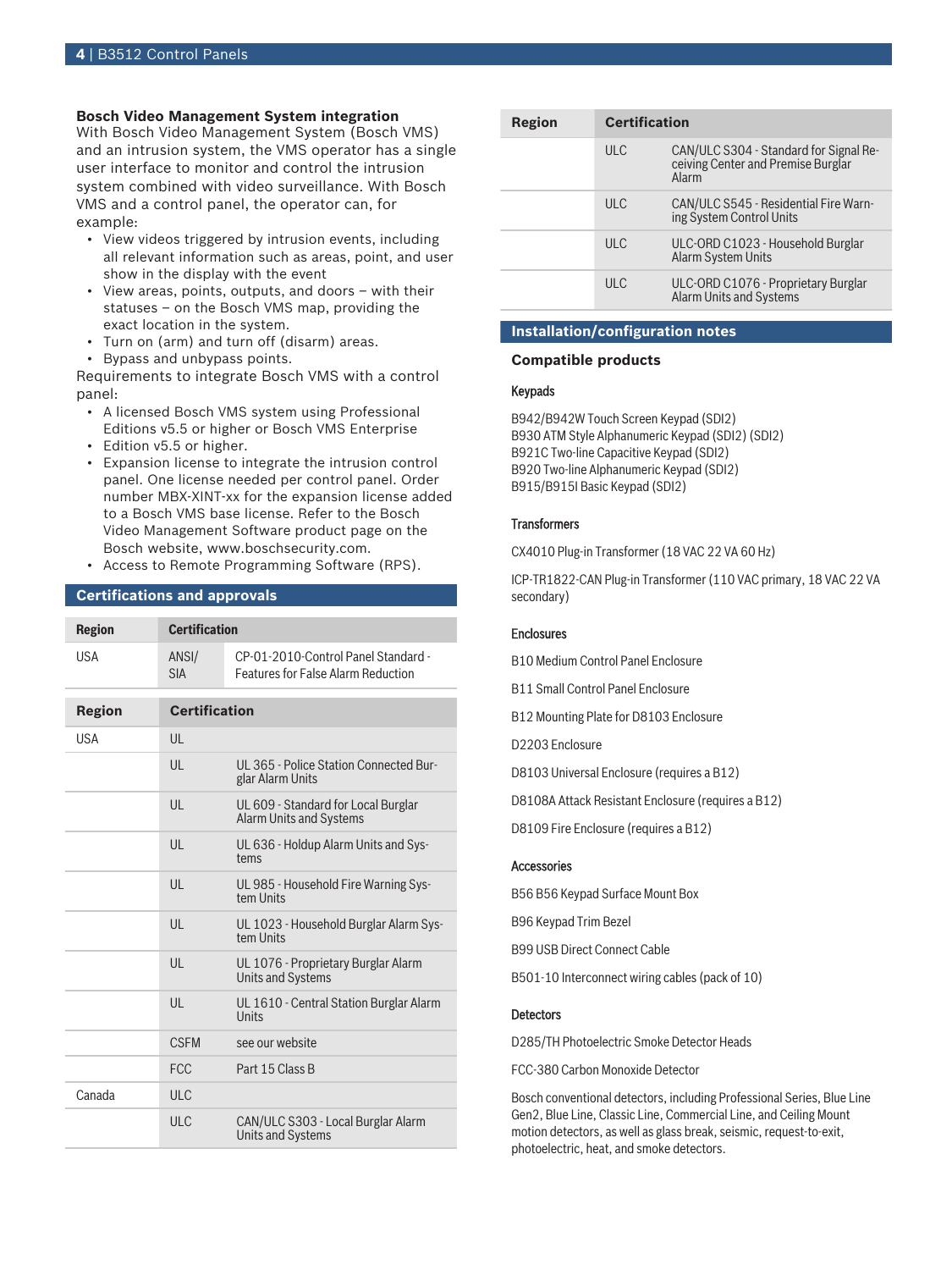# **Bosch Video Management System integration**

With Bosch Video Management System (Bosch VMS) and an intrusion system, the VMS operator has a single user interface to monitor and control the intrusion system combined with video surveillance. With Bosch VMS and a control panel, the operator can, for example:

- View videos triggered by intrusion events, including all relevant information such as areas, point, and user show in the display with the event
- View areas, points, outputs, and doors with their statuses – on the Bosch VMS map, providing the exact location in the system.
- Turn on (arm) and turn off (disarm) areas.
- Bypass and unbypass points.

Requirements to integrate Bosch VMS with a control panel:

- A licensed Bosch VMS system using Professional Editions v5.5 or higher or Bosch VMS Enterprise
- Edition v5.5 or higher.
- Expansion license to integrate the intrusion control panel. One license needed per control panel. Order number MBX-XINT-xx for the expansion license added to a Bosch VMS base license. Refer to the Bosch Video Management Software product page on the Bosch website, www.boschsecurity.com.
- Access to Remote Programming Software (RPS).

# **Certifications and approvals**

| <b>Region</b> | <b>Certification</b> |                                                                                  |
|---------------|----------------------|----------------------------------------------------------------------------------|
| <b>USA</b>    | ANSI/<br><b>SIA</b>  | CP-01-2010-Control Panel Standard -<br><b>Features for False Alarm Reduction</b> |
| <b>Region</b> | <b>Certification</b> |                                                                                  |
|               |                      |                                                                                  |
| <b>USA</b>    | $\mathsf{U}$         |                                                                                  |
|               | $\mathsf{U}$         | UL 365 - Police Station Connected Bur-<br>glar Alarm Units                       |
|               | UL                   | UL 609 - Standard for Local Burglar<br><b>Alarm Units and Systems</b>            |
|               | UL                   | UL 636 - Holdup Alarm Units and Sys-<br>tems                                     |
|               | UL                   | UL 985 - Household Fire Warning Sys-<br>tem Units                                |
|               | $\mathsf{U}$         | UL 1023 - Household Burglar Alarm Sys-<br>tem Units                              |
|               | $\mathsf{U}$         | UL 1076 - Proprietary Burglar Alarm<br><b>Units and Systems</b>                  |
|               | UL                   | UL 1610 - Central Station Burglar Alarm<br>Units                                 |
|               | <b>CSEM</b>          | see our website                                                                  |
|               | <b>FCC</b>           | Part 15 Class B                                                                  |
| Canada        | <b>ULC</b>           |                                                                                  |
|               | <b>ULC</b>           | CAN/ULC S303 - Local Burglar Alarm<br><b>Units and Systems</b>                   |

| Region | <b>Certification</b> |                                                                                       |
|--------|----------------------|---------------------------------------------------------------------------------------|
|        | UL                   | CAN/ULC S304 - Standard for Signal Re-<br>ceiving Center and Premise Burglar<br>Alarm |
|        | ULC                  | CAN/ULC S545 - Residential Fire Warn-<br>ing System Control Units                     |
|        | ULC                  | ULC-ORD C1023 - Household Burglar<br><b>Alarm System Units</b>                        |
|        | ULC                  | ULC-ORD C1076 - Proprietary Burglar<br>Alarm Units and Systems                        |

# **Installation/configuration notes**

# **Compatible products**

# Keypads

B942/B942W Touch Screen Keypad (SDI2) B930 ATM Style Alphanumeric Keypad (SDI2) (SDI2) B921C Two-line Capacitive Keypad (SDI2) B920 Two-line Alphanumeric Keypad (SDI2) B915/B915I Basic Keypad (SDI2)

### **Transformers**

CX4010 Plug-in Transformer (18 VAC 22 VA 60 Hz)

ICP‑TR1822‑CAN Plug‑in Transformer (110 VAC primary, 18 VAC 22 VA secondary)

#### **Enclosures**

B10 Medium Control Panel Enclosure

B11 Small Control Panel Enclosure

B12 Mounting Plate for D8103 Enclosure

D2203 Enclosure

D8103 Universal Enclosure (requires a B12)

D8108A Attack Resistant Enclosure (requires a B12)

D8109 Fire Enclosure (requires a B12)

#### Accessories

B56 B56 Keypad Surface Mount Box B96 Keypad Trim Bezel B99 USB Direct Connect Cable B501-10 Interconnect wiring cables (pack of 10)

#### **Detectors**

D285/TH Photoelectric Smoke Detector Heads

FCC-380 Carbon Monoxide Detector

Bosch conventional detectors, including Professional Series, Blue Line Gen2, Blue Line, Classic Line, Commercial Line, and Ceiling Mount motion detectors, as well as glass break, seismic, request-to-exit, photoelectric, heat, and smoke detectors.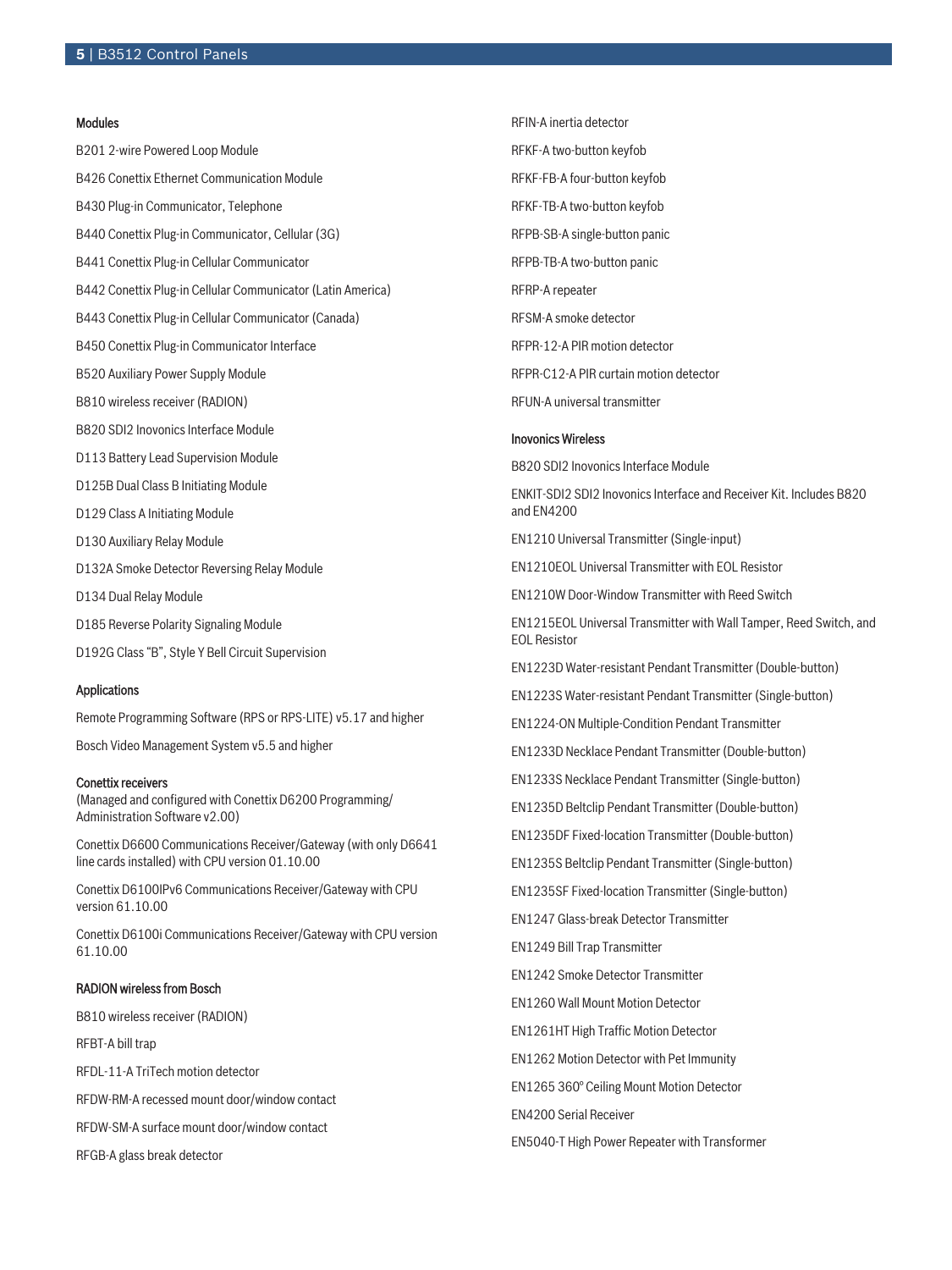#### Modules

B201 2-wire Powered Loop Module B426 Conettix Ethernet Communication Module B430 Plug-in Communicator, Telephone B440 Conettix Plug-in Communicator, Cellular (3G) B441 Conettix Plug-in Cellular Communicator B442 Conettix Plug-in Cellular Communicator (Latin America) B443 Conettix Plug-in Cellular Communicator (Canada) B450 Conettix Plug-in Communicator Interface B520 Auxiliary Power Supply Module B810 wireless receiver (RADION) B820 SDI2 Inovonics Interface Module D113 Battery Lead Supervision Module D125B Dual Class B Initiating Module D129 Class A Initiating Module D130 Auxiliary Relay Module D132A Smoke Detector Reversing Relay Module D134 Dual Relay Module D185 Reverse Polarity Signaling Module D192G Class "B", Style Y Bell Circuit Supervision

#### Applications

Remote Programming Software (RPS or RPS‑LITE) v5.17 and higher

Bosch Video Management System v5.5 and higher

#### Conettix receivers

(Managed and configured with Conettix D6200 Programming/ Administration Software v2.00)

Conettix D6600 Communications Receiver/Gateway (with only D6641 line cards installed) with CPU version 01.10.00

Conettix D6100IPv6 Communications Receiver/Gateway with CPU version 61.10.00

Conettix D6100i Communications Receiver/Gateway with CPU version 61.10.00

### RADION wireless from Bosch

B810 wireless receiver (RADION)

RFBT-A bill trap

RFDL-11-A TriTech motion detector

RFDW-RM-A recessed mount door/window contact

RFDW-SM-A surface mount door/window contact

RFGB-A glass break detector

RFIN-A inertia detector RFKF-A two-button keyfob RFKF-FB-A four-button keyfob RFKF-TB-A two-button keyfob RFPB-SB-A single-button panic RFPB-TB-A two-button panic RFRP-A repeater RFSM-A smoke detector RFPR-12-A PIR motion detector RFPR-C12-A PIR curtain motion detector RFUN-A universal transmitter

#### Inovonics Wireless

B820 SDI2 Inovonics Interface Module

ENKIT-SDI2 SDI2 Inovonics Interface and Receiver Kit. Includes B820 and EN4200

EN1210 Universal Transmitter (Single-input)

EN1210EOL Universal Transmitter with EOL Resistor

EN1210W Door-Window Transmitter with Reed Switch

EN1215EOL Universal Transmitter with Wall Tamper, Reed Switch, and EOL Resistor

EN1223D Water‑resistant Pendant Transmitter (Double‑button)

EN1223S Water‑resistant Pendant Transmitter (Single‑button)

EN1224-ON Multiple-Condition Pendant Transmitter

EN1233D Necklace Pendant Transmitter (Double-button)

EN1233S Necklace Pendant Transmitter (Single-button)

EN1235D Beltclip Pendant Transmitter (Double-button)

EN1235DF Fixed-location Transmitter (Double-button)

EN1235S Beltclip Pendant Transmitter (Single-button)

EN1235SF Fixed-location Transmitter (Single-button)

EN1247 Glass-break Detector Transmitter

EN1249 Bill Trap Transmitter

EN1242 Smoke Detector Transmitter

EN1260 Wall Mount Motion Detector

EN1261HT High Traffic Motion Detector

EN1262 Motion Detector with Pet Immunity

EN1265 360° Ceiling Mount Motion Detector

EN4200 Serial Receiver

EN5040-T High Power Repeater with Transformer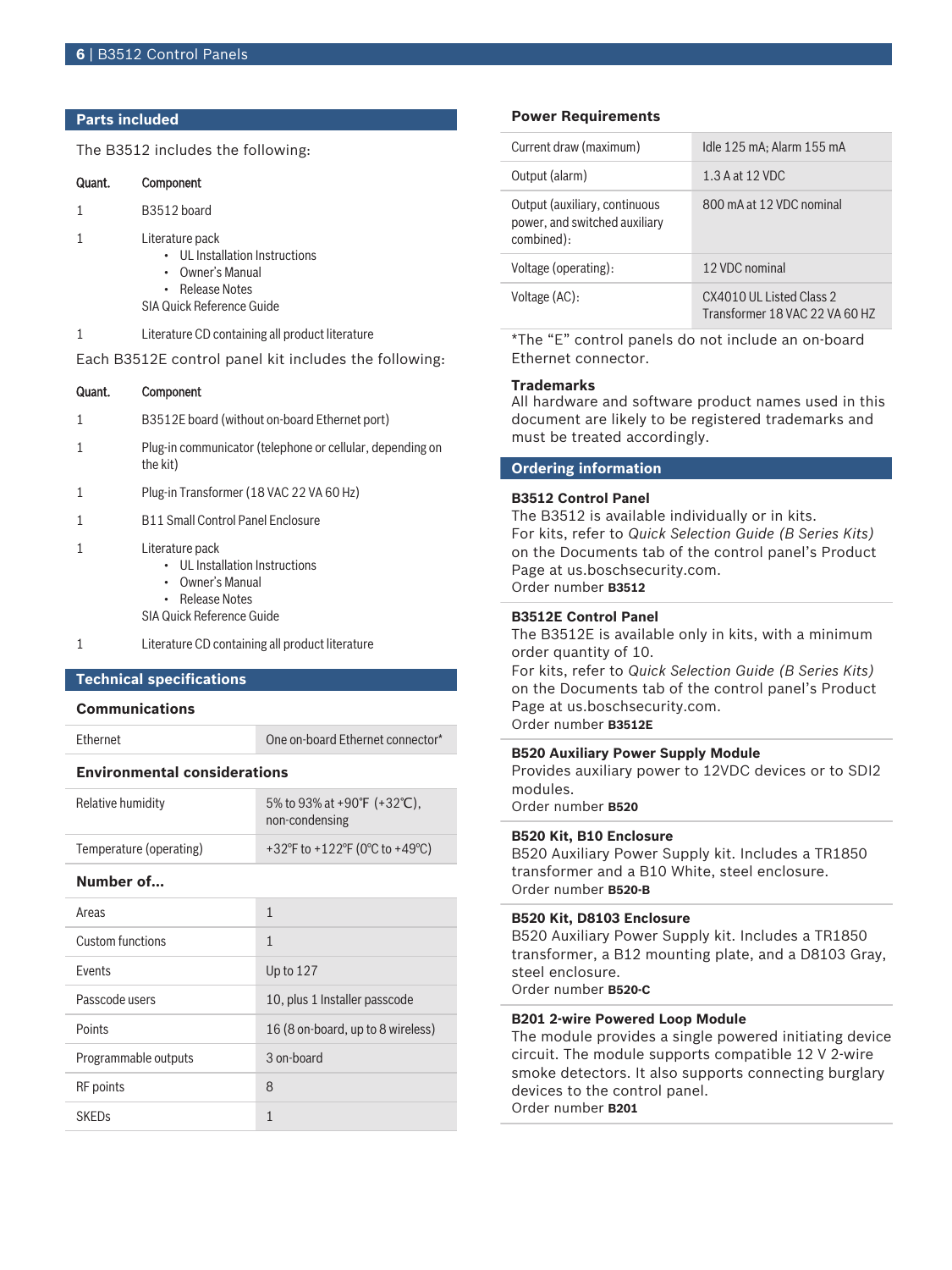# **Parts included**

The B3512 includes the following:

| Quant.                                                | Component                                                                                                             |
|-------------------------------------------------------|-----------------------------------------------------------------------------------------------------------------------|
| $\mathbf{1}$                                          | B3512 board                                                                                                           |
| 1                                                     | Literature pack<br>• UL Installation Instructions<br>• Owner's Manual<br>• Release Notes<br>SIA Quick Reference Guide |
| $\mathbf{1}$                                          | Literature CD containing all product literature                                                                       |
| Each B3512E control panel kit includes the following: |                                                                                                                       |
| Quant.                                                | Component                                                                                                             |

- 1 Plug-in communicator (telephone or cellular, depending on the kit)
- 1 Plug-in Transformer (18 VAC 22 VA 60 Hz)
- 1 B11 Small Control Panel Enclosure
- 1 Literature pack
	- UL Installation Instructions
	- Owner's Manual
	- Release Notes

SIA Quick Reference Guide

1 Literature CD containing all product literature

### **Technical specifications**

#### **Communications**

Ethernet Connector\* One on-board Ethernet connector\*

# **Environmental considerations**

| Relative humidity       | 5% to 93% at +90°F $(+32^{\circ}C)$ ,<br>non-condensing |
|-------------------------|---------------------------------------------------------|
| Temperature (operating) | +32°F to +122°F (0°C to +49°C)                          |

#### **Number of…**

| Areas                | 1                                 |
|----------------------|-----------------------------------|
| Custom functions     | $\mathbf{1}$                      |
| <b>Fvents</b>        | Up to $127$                       |
| Passcode users       | 10, plus 1 Installer passcode     |
| Points               | 16 (8 on-board, up to 8 wireless) |
| Programmable outputs | 3 on-board                        |
| <b>RF</b> points     | 8                                 |
| <b>SKEDs</b>         | 1                                 |

### **Power Requirements**

| Current draw (maximum)                                                       | Idle 125 mA; Alarm 155 mA                                   |
|------------------------------------------------------------------------------|-------------------------------------------------------------|
| Output (alarm)                                                               | 1.3 A at 12 VDC                                             |
| Output (auxiliary, continuous<br>power, and switched auxiliary<br>combined): | 800 mA at 12 VDC nominal                                    |
| Voltage (operating):                                                         | 12 VDC nominal                                              |
| Voltage (AC):                                                                | CX4010 ULL Listed Class 2<br>Transformer 18 VAC 22 VA 60 HZ |

\*The "E" control panels do not include an on-board Ethernet connector.

#### **Trademarks**

All hardware and software product names used in this document are likely to be registered trademarks and must be treated accordingly.

# **Ordering information**

#### **B3512 Control Panel**

The B3512 is available individually or in kits. For kits, refer to *Quick Selection Guide (B Series Kits)* on the Documents tab of the control panel's Product Page at us.boschsecurity.com. Order number **B3512**

#### **B3512E Control Panel**

The B3512E is available only in kits, with a minimum order quantity of 10.

For kits, refer to *Quick Selection Guide (B Series Kits)* on the Documents tab of the control panel's Product Page at us.boschsecurity.com. Order number **B3512E**

#### **B520 Auxiliary Power Supply Module**

Provides auxiliary power to 12VDC devices or to SDI2 modules.

Order number **B520**

# **B520 Kit, B10 Enclosure**

B520 Auxiliary Power Supply kit. Includes a TR1850 transformer and a B10 White, steel enclosure. Order number **B520-B**

#### **B520 Kit, D8103 Enclosure**

B520 Auxiliary Power Supply kit. Includes a TR1850 transformer, a B12 mounting plate, and a D8103 Gray, steel enclosure. Order number **B520-C**

#### **B201 2-wire Powered Loop Module**

The module provides a single powered initiating device circuit. The module supports compatible 12 V 2-wire smoke detectors. It also supports connecting burglary devices to the control panel. Order number **B201**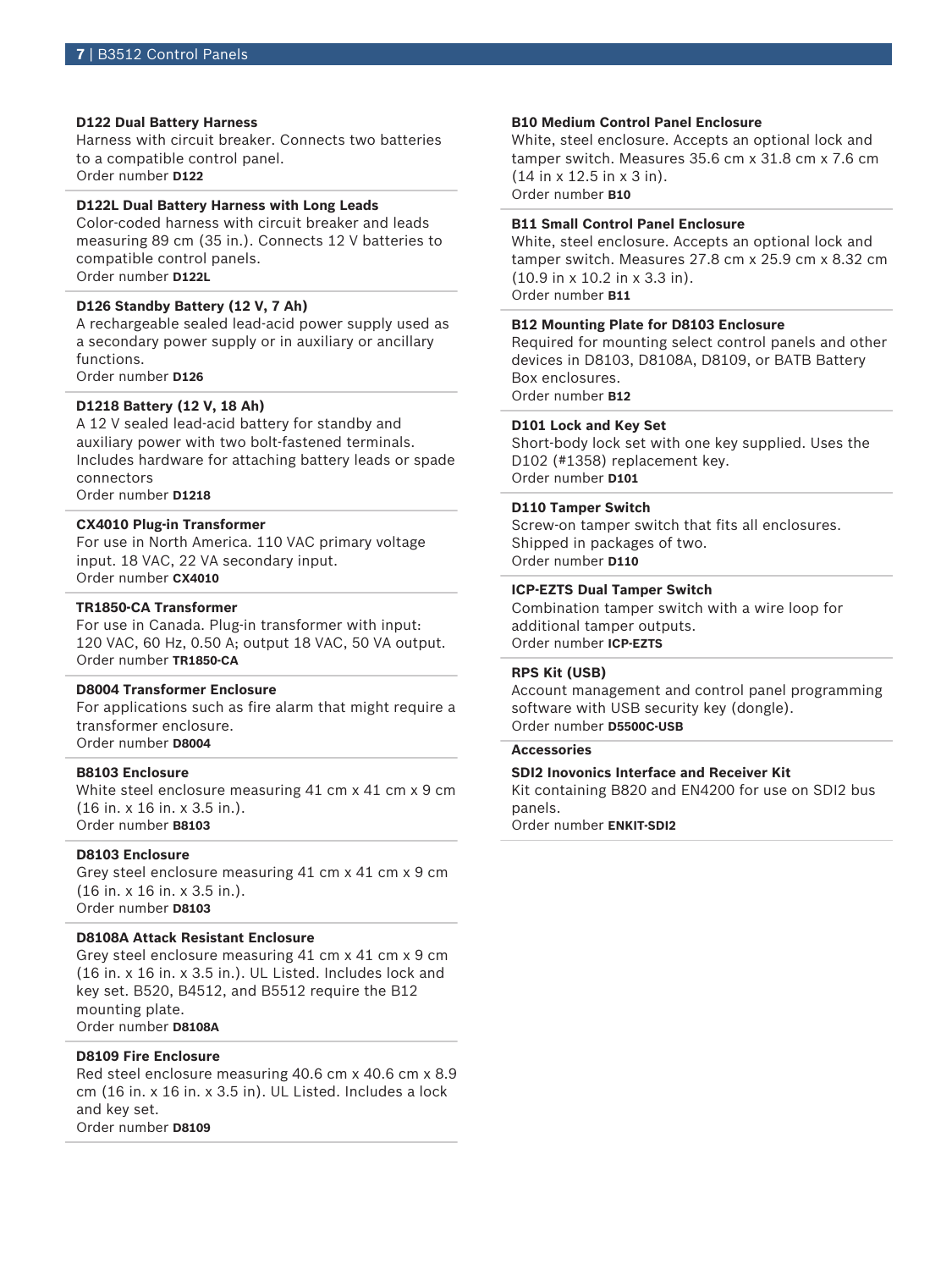#### **D122 Dual Battery Harness**

Harness with circuit breaker. Connects two batteries to a compatible control panel. Order number **D122**

# **D122L Dual Battery Harness with Long Leads**

Color-coded harness with circuit breaker and leads measuring 89 cm (35 in.). Connects 12 V batteries to compatible control panels. Order number **D122L**

#### **D126 Standby Battery (12 V, 7 Ah)**

A rechargeable sealed lead‑acid power supply used as a secondary power supply or in auxiliary or ancillary functions. Order number **D126**

#### **D1218 Battery (12 V, 18 Ah)**

A 12 V sealed lead‑acid battery for standby and auxiliary power with two bolt-fastened terminals. Includes hardware for attaching battery leads or spade connectors

Order number **D1218**

### **CX4010 Plug‑in Transformer**

For use in North America. 110 VAC primary voltage input. 18 VAC, 22 VA secondary input. Order number **CX4010**

#### **TR1850-CA Transformer**

For use in Canada. Plug-in transformer with input: 120 VAC, 60 Hz, 0.50 A; output 18 VAC, 50 VA output. Order number **TR1850-CA**

#### **D8004 Transformer Enclosure**

For applications such as fire alarm that might require a transformer enclosure. Order number **D8004**

#### **B8103 Enclosure**

White steel enclosure measuring 41 cm x 41 cm x 9 cm (16 in. x 16 in. x 3.5 in.). Order number **B8103**

# **D8103 Enclosure**

Grey steel enclosure measuring 41 cm x 41 cm x 9 cm (16 in. x 16 in. x 3.5 in.). Order number **D8103**

# **D8108A Attack Resistant Enclosure**

Grey steel enclosure measuring 41 cm x 41 cm x 9 cm (16 in. x 16 in. x 3.5 in.). UL Listed. Includes lock and key set. B520, B4512, and B5512 require the B12 mounting plate. Order number **D8108A**

# **D8109 Fire Enclosure**

Red steel enclosure measuring 40.6 cm x 40.6 cm x 8.9 cm (16 in. x 16 in. x 3.5 in). UL Listed. Includes a lock and key set. Order number **D8109**

#### **B10 Medium Control Panel Enclosure**

White, steel enclosure. Accepts an optional lock and tamper switch. Measures 35.6 cm x 31.8 cm x 7.6 cm (14 in x 12.5 in x 3 in). Order number **B10**

#### **B11 Small Control Panel Enclosure**

White, steel enclosure. Accepts an optional lock and tamper switch. Measures 27.8 cm x 25.9 cm x 8.32 cm (10.9 in x 10.2 in x 3.3 in). Order number **B11**

#### **B12 Mounting Plate for D8103 Enclosure**

Required for mounting select control panels and other devices in D8103, D8108A, D8109, or BATB Battery Box enclosures. Order number **B12**

#### **D101 Lock and Key Set**

Short-body lock set with one key supplied. Uses the D102 (#1358) replacement key. Order number **D101**

#### **D110 Tamper Switch**

Screw-on tamper switch that fits all enclosures. Shipped in packages of two. Order number **D110**

#### **ICP‑EZTS Dual Tamper Switch**

Combination tamper switch with a wire loop for additional tamper outputs. Order number **ICP-EZTS**

#### **RPS Kit (USB)**

Account management and control panel programming software with USB security key (dongle). Order number **D5500C-USB**

#### **Accessories**

### **SDI2 Inovonics Interface and Receiver Kit**

Kit containing B820 and EN4200 for use on SDI2 bus panels.

Order number **ENKIT-SDI2**